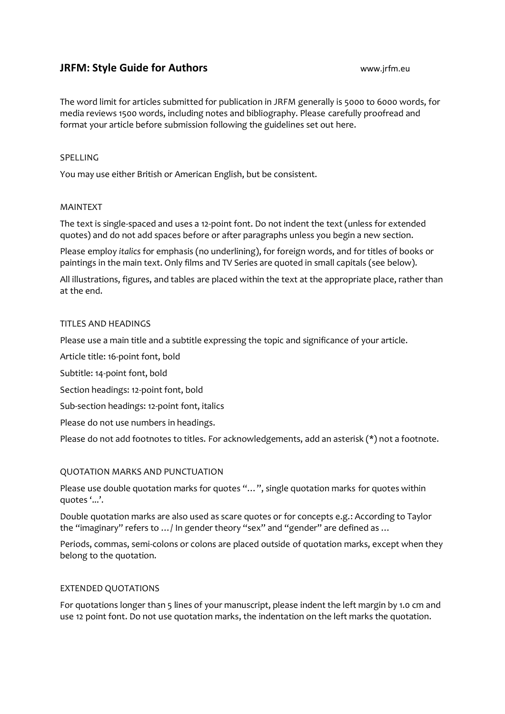# **JRFM: Style Guide for Authors** www.jrfm.eu

The word limit for articles submitted for publication in JRFM generally is 5000 to 6000 words, for media reviews 1500 words, including notes and bibliography. Please carefully proofread and format your article before submission following the guidelines set out here.

## SPELLING

You may use either British or American English, but be consistent.

## MAINTEXT

The text is single-spaced and uses a 12-point font. Do not indent the text (unless for extended quotes) and do not add spaces before or after paragraphs unless you begin a new section.

Please employ *italics* for emphasis (no underlining), for foreign words, and for titles of books or paintings in the main text. Only films and TV Series are quoted in small capitals (see below).

All illustrations, figures, and tables are placed within the text at the appropriate place, rather than at the end.

## TITLES AND HEADINGS

Please use a main title and a subtitle expressing the topic and significance of your article.

Article title: 16-point font, bold

Subtitle: 14-point font, bold

Section headings: 12-point font, bold

Sub-section headings: 12-point font, italics

Please do not use numbers in headings.

Please do not add footnotes to titles. For acknowledgements, add an asterisk (\*) not a footnote.

## QUOTATION MARKS AND PUNCTUATION

Please use double quotation marks for quotes "…", single quotation marks for quotes within quotes '...'.

Double quotation marks are also used as scare quotes or for concepts e.g.: According to Taylor the "imaginary" refers to …/ In gender theory "sex" and "gender" are defined as …

Periods, commas, semi-colons or colons are placed outside of quotation marks, except when they belong to the quotation.

## EXTENDED QUOTATIONS

For quotations longer than 5 lines of your manuscript, please indent the left margin by 1.0 cm and use 12 point font. Do not use quotation marks, the indentation on the left marks the quotation.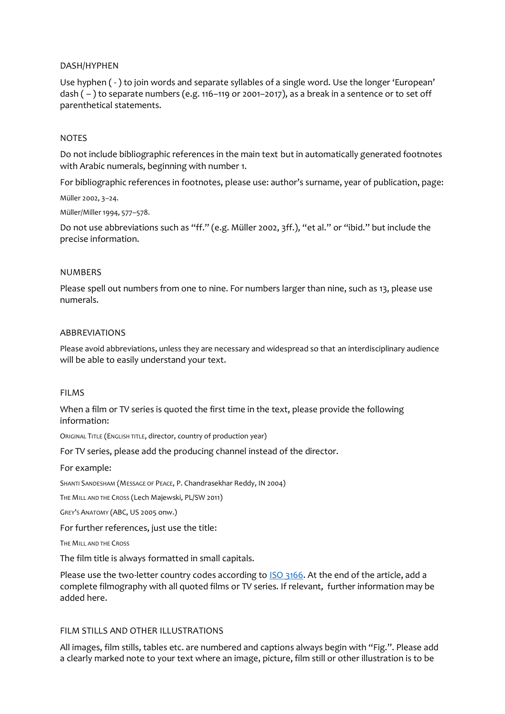## DASH/HYPHEN

Use hyphen ( - ) to join words and separate syllables of a single word. Use the longer 'European' dash  $(-)$  to separate numbers (e.g. 116–119 or 2001–2017), as a break in a sentence or to set off parenthetical statements.

## NOTES

Do not include bibliographic references in the main text but in automatically generated footnotes with Arabic numerals, beginning with number 1.

For bibliographic references in footnotes, please use: author's surname, year of publication, page: Müller 2002, 3–24.

Müller/Miller 1994, 577–578.

Do not use abbreviations such as "ff." (e.g. Müller 2002, 3ff.), "et al." or "ibid." but include the precise information.

### NUMBERS

Please spell out numbers from one to nine. For numbers larger than nine, such as 13, please use numerals.

### ABBREVIATIONS

Please avoid abbreviations, unless they are necessary and widespread so that an interdisciplinary audience will be able to easily understand your text.

#### FILMS

When a film or TV series is quoted the first time in the text, please provide the following information:

ORIGINAL TITLE (ENGLISH TITLE, director, country of production year)

For TV series, please add the producing channel instead of the director.

#### For example:

SHANTI SANDESHAM (MESSAGE OF PEACE, P. Chandrasekhar Reddy, IN 2004)

THE MILL AND THE CROSS (Lech Majewski, PL/SW 2011)

GREY'S ANATOMY (ABC, US 2005 onw.)

For further references, just use the title:

THE MILL AND THE CROSS

The film title is always formatted in small capitals.

Please use the two-letter country codes according t[o ISO 3166.](https://www.iso.org/obp/ui/#searchv) At the end of the article, add a complete filmography with all quoted films or TV series. If relevant, further information may be added here.

## FILM STILLS AND OTHER ILLUSTRATIONS

All images, film stills, tables etc. are numbered and captions always begin with "Fig.". Please add a clearly marked note to your text where an image, picture, film still or other illustration is to be